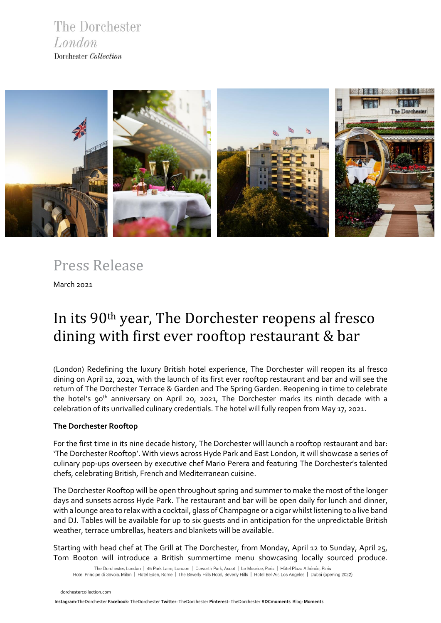The Dorchester London Dorchester Collection



Press Release

March 2021

# In its 90th year, The Dorchester reopens al fresco dining with first ever rooftop restaurant & bar

(London) Redefining the luxury British hotel experience, The Dorchester will reopen its al fresco dining on April 12, 2021, with the launch of its first ever rooftop restaurant and bar and will see the return of The Dorchester Terrace & Garden and The Spring Garden. Reopening in time to celebrate the hotel's 90<sup>th</sup> anniversary on April 20, 2021, The Dorchester marks its ninth decade with a celebration of its unrivalled culinary credentials. The hotel will fully reopen from May 17, 2021.

## **The Dorchester Rooftop**

For the first time in its nine decade history, The Dorchester will launch a rooftop restaurant and bar: 'The Dorchester Rooftop'. With views across Hyde Park and East London, it will showcase a series of culinary pop-ups overseen by executive chef Mario Perera and featuring The Dorchester's talented chefs, celebrating British, French and Mediterranean cuisine.

The Dorchester Rooftop will be open throughout spring and summer to make the most of the longer days and sunsets across Hyde Park. The restaurant and bar will be open daily for lunch and dinner, with a lounge area to relax with a cocktail, glass of Champagne or a cigar whilst listening to a live band and DJ. Tables will be available for up to six guests and in anticipation for the unpredictable British weather, terrace umbrellas, heaters and blankets will be available.

Starting with head chef at The Grill at The Dorchester, from Monday, April 12 to Sunday, April 25, Tom Booton will introduce a British summertime menu showcasing locally sourced produce.

The Dorchester, London | 45 Park Lane, London | Coworth Park, Ascot | Le Meurice, Paris | Hôtel Plaza Athénée, Paris Hotel Principe di Savoia, Milan | Hotel Eden, Rome | The Beverly Hills Hotel, Beverly Hills | Hotel Bel-Air, Los Angeles | Dubai (opening 2022)

 [dorchestercollection.com](https://www.instagram.com/thedorchester/)

 **[Ins](https://www.dorchestercollection.com/en/london/the-dorchester/)tagram**:TheDorchester **Facebook**: [TheDorchester](https://www.facebook.com/TheDorchester) **Twitter**: [TheDorchester](https://twitter.com/TheDorchester) **Pinterest**[: TheDorchester](https://www.pinterest.co.uk/thedorchester/_created/) **#DCmoments** Blog: **[Moments](https://www.dorchestercollection.com/en/moments/)**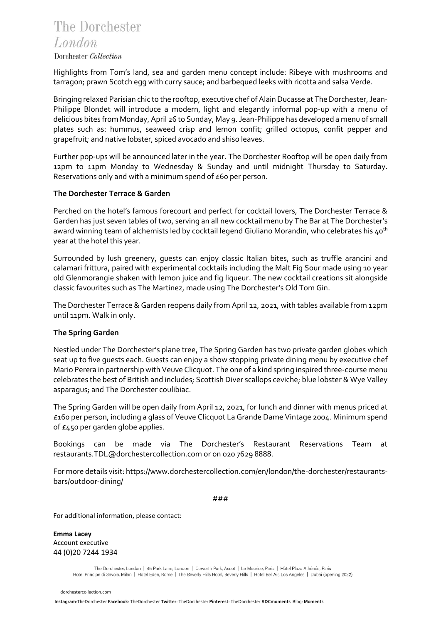## The Dorchester London

## Dorchester Collection

Highlights from Tom's land, sea and garden menu concept include: Ribeye with mushrooms and tarragon; prawn Scotch egg with curry sauce; and barbequed leeks with ricotta and salsa Verde.

Bringing relaxed Parisian chic to the rooftop, executive chef of Alain Ducasse at The Dorchester, Jean-Philippe Blondet will introduce a modern, light and elegantly informal pop-up with a menu of delicious bites from Monday, April 26 to Sunday, May 9. Jean-Philippe has developed a menu of small plates such as: hummus, seaweed crisp and lemon confit; grilled octopus, confit pepper and grapefruit; and native lobster, spiced avocado and shiso leaves.

Further pop-ups will be announced later in the year. The Dorchester Rooftop will be open daily from 12pm to 11pm Monday to Wednesday & Sunday and until midnight Thursday to Saturday. Reservations only and with a minimum spend of £60 per person.

## **The Dorchester Terrace & Garden**

Perched on the hotel's famous forecourt and perfect for cocktail lovers, The Dorchester Terrace & Garden has just seven tables of two, serving an all new cocktail menu by The Bar at The Dorchester's award winning team of alchemists led by cocktail legend Giuliano Morandin, who celebrates his 40<sup>th</sup> year at the hotel this year.

Surrounded by lush greenery, guests can enjoy classic Italian bites, such as truffle arancini and calamari frittura, paired with experimental cocktails including the Malt Fig Sour made using 10 year old Glenmorangie shaken with lemon juice and fig liqueur. The new cocktail creations sit alongside classic favourites such as The Martinez, made using The Dorchester's Old Tom Gin.

The Dorchester Terrace & Garden reopens daily from April 12, 2021, with tables available from 12pm until 11pm. Walk in only.

## **The Spring Garden**

Nestled under The Dorchester's plane tree, The Spring Garden has two private garden globes which seat up to five guests each. Guests can enjoy a show stopping private dining menu by executive chef Mario Perera in partnership with Veuve Clicquot. The one of a kind spring inspired three-course menu celebrates the best of British and includes; Scottish Diver scallops ceviche; blue lobster & Wye Valley asparagus; and The Dorchester coulibiac.

The Spring Garden will be open daily from April 12, 2021, for lunch and dinner with menus priced at £160 per person, including a glass of Veuve Clicquot La Grande Dame Vintage 2004. Minimum spend of £450 per garden globe applies.

Bookings can be made via The Dorchester's Restaurant Reservations Team at restaurants.TDL@dorchestercollection.com or on 020 7629 8888.

For more details visit[: https://www.dorchestercollection.com/en/london/the-dorchester/restaurants](https://www.dorchestercollection.com/en/london/the-dorchester/restaurants-bars/outdoor-dining/)[bars/outdoor-dining/](https://www.dorchestercollection.com/en/london/the-dorchester/restaurants-bars/outdoor-dining/)

###

For additional information, please contact:

**Emma Lacey**  Account executive 44 (0)20 7244 1934

> The Dorchester, London | 45 Park Lane, London | Coworth Park, Ascot | Le Meurice, Paris | Hôtel Plaza Athénée, Paris Hotel Principe di Savoia, Milan | Hotel Eden, Rome | The Beverly Hills Hotel, Beverly Hills | Hotel Bel-Air, Los Angeles | Dubai (opening 2022)